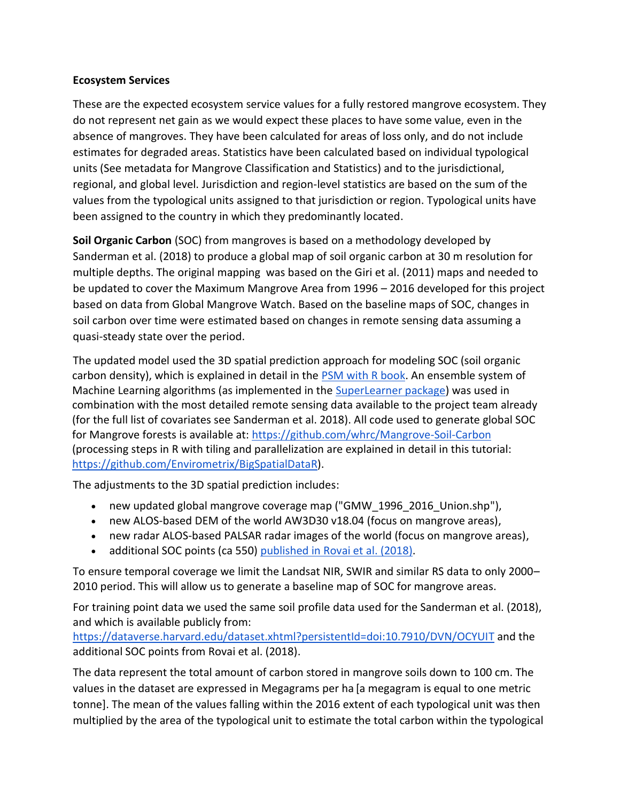## **Ecosystem Services**

These are the expected ecosystem service values for a fully restored mangrove ecosystem. They do not represent net gain as we would expect these places to have some value, even in the absence of mangroves. They have been calculated for areas of loss only, and do not include estimates for degraded areas. Statistics have been calculated based on individual typological units (See metadata for Mangrove Classification and Statistics) and to the jurisdictional, regional, and global level. Jurisdiction and region-level statistics are based on the sum of the values from the typological units assigned to that jurisdiction or region. Typological units have been assigned to the country in which they predominantly located.

**Soil Organic Carbon** (SOC) from mangroves is based on a methodology developed by Sanderman et al. (2018) to produce a global map of soil organic carbon at 30 m resolution for multiple depths. The original mapping was based on the Giri et al. (2011) maps and needed to be updated to cover the Maximum Mangrove Area from 1996 – 2016 developed for this project based on data from Global Mangrove Watch. Based on the baseline maps of SOC, changes in soil carbon over time were estimated based on changes in remote sensing data assuming a quasi-steady state over the period.

The updated model used the 3D spatial prediction approach for modeling SOC (soil organic carbon density), which is explained in detail in the [PSM with R book.](https://envirometrix.github.io/PredictiveSoilMapping/SOC-chapter.html#ocs-3d-approach) An ensemble system of Machine Learning algorithms (as implemented in the [SuperLearner package\)](https://envirometrix.github.io/PredictiveSoilMapping/soilmapping-using-mla.html#ensemble-predictions-using-superlearner-package) was used in combination with the most detailed remote sensing data available to the project team already (for the full list of covariates see Sanderman et al. 2018). All code used to generate global SOC for Mangrove forests is available at: <https://github.com/whrc/Mangrove-Soil-Carbon> (processing steps in R with tiling and parallelization are explained in detail in this tutorial: [https://github.com/Envirometrix/BigSpatialDataR\)](https://github.com/Envirometrix/BigSpatialDataR).

The adjustments to the 3D spatial prediction includes:

- new updated global mangrove coverage map ("GMW\_1996\_2016\_Union.shp"),
- new ALOS-based DEM of the world AW3D30 v18.04 (focus on mangrove areas),
- new radar ALOS-based PALSAR radar images of the world (focus on mangrove areas),
- additional SOC points (ca 550) [published in Rovai et al. \(2018\).](https://static-content.springer.com/esm/art%3A10.1038%2Fs41558-018-0162-5/MediaObjects/41558_2018_162_MOESM2_ESM.xlsx)

To ensure temporal coverage we limit the Landsat NIR, SWIR and similar RS data to only 2000– 2010 period. This will allow us to generate a baseline map of SOC for mangrove areas.

For training point data we used the same soil profile data used for the Sanderman et al. (2018), and which is available publicly from:

<https://dataverse.harvard.edu/dataset.xhtml?persistentId=doi:10.7910/DVN/OCYUIT> and the additional SOC points from Rovai et al. (2018).

The data represent the total amount of carbon stored in mangrove soils down to 100 cm. The values in the dataset are expressed in Megagrams per ha [a megagram is equal to one metric tonne]. The mean of the values falling within the 2016 extent of each typological unit was then multiplied by the area of the typological unit to estimate the total carbon within the typological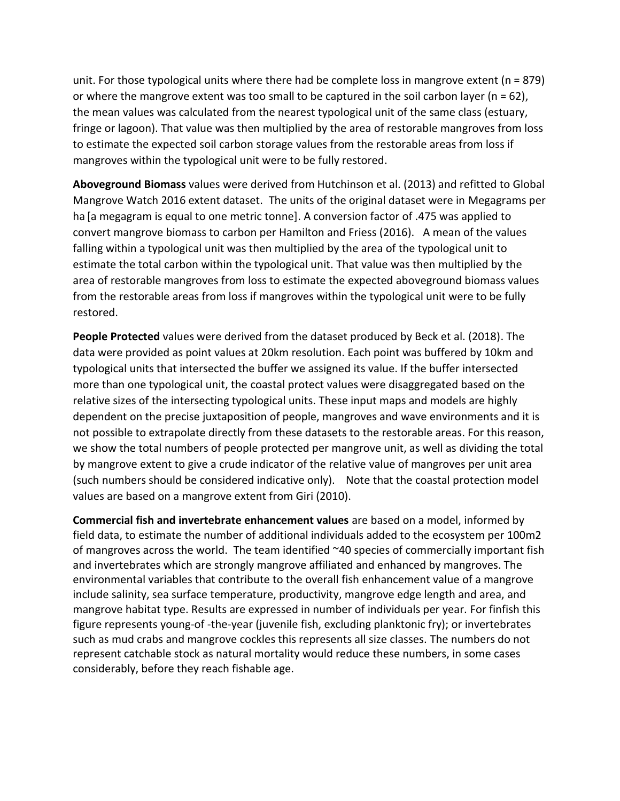unit. For those typological units where there had be complete loss in mangrove extent ( $n = 879$ ) or where the mangrove extent was too small to be captured in the soil carbon layer ( $n = 62$ ), the mean values was calculated from the nearest typological unit of the same class (estuary, fringe or lagoon). That value was then multiplied by the area of restorable mangroves from loss to estimate the expected soil carbon storage values from the restorable areas from loss if mangroves within the typological unit were to be fully restored.

**Aboveground Biomass** values were derived from Hutchinson et al. (2013) and refitted to Global Mangrove Watch 2016 extent dataset. The units of the original dataset were in Megagrams per ha [a megagram is equal to one metric tonne]. A conversion factor of .475 was applied to convert mangrove biomass to carbon per Hamilton and Friess (2016). A mean of the values falling within a typological unit was then multiplied by the area of the typological unit to estimate the total carbon within the typological unit. That value was then multiplied by the area of restorable mangroves from loss to estimate the expected aboveground biomass values from the restorable areas from loss if mangroves within the typological unit were to be fully restored.

**People Protected** values were derived from the dataset produced by Beck et al. (2018). The data were provided as point values at 20km resolution. Each point was buffered by 10km and typological units that intersected the buffer we assigned its value. If the buffer intersected more than one typological unit, the coastal protect values were disaggregated based on the relative sizes of the intersecting typological units. These input maps and models are highly dependent on the precise juxtaposition of people, mangroves and wave environments and it is not possible to extrapolate directly from these datasets to the restorable areas. For this reason, we show the total numbers of people protected per mangrove unit, as well as dividing the total by mangrove extent to give a crude indicator of the relative value of mangroves per unit area (such numbers should be considered indicative only). Note that the coastal protection model values are based on a mangrove extent from Giri (2010).

**Commercial fish and invertebrate enhancement values** are based on a model, informed by field data, to estimate the number of additional individuals added to the ecosystem per 100m2 of mangroves across the world. The team identified ~40 species of commercially important fish and invertebrates which are strongly mangrove affiliated and enhanced by mangroves. The environmental variables that contribute to the overall fish enhancement value of a mangrove include salinity, sea surface temperature, productivity, mangrove edge length and area, and mangrove habitat type. Results are expressed in number of individuals per year. For finfish this figure represents young-of -the-year (juvenile fish, excluding planktonic fry); or invertebrates such as mud crabs and mangrove cockles this represents all size classes. The numbers do not represent catchable stock as natural mortality would reduce these numbers, in some cases considerably, before they reach fishable age.